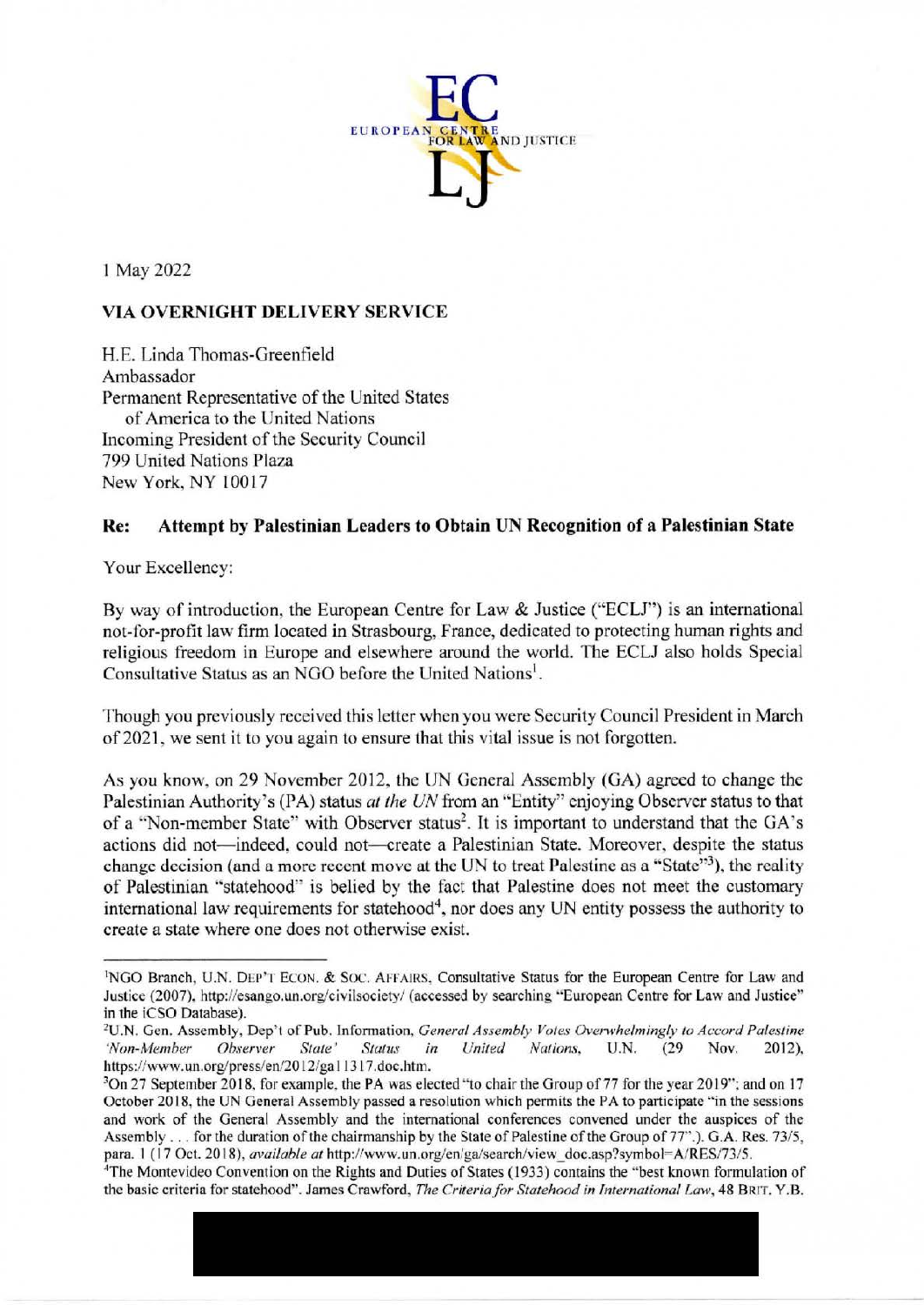

I May 2022

## **VIA OVERNIGHT DELIVERY SERVICE**

H.E. Linda Thomas-Greenfield Ambassador Pennanent Representative of the United States of America to the United Nations Incoming President of the Security Council 799 United Nations Plaza New York, NY 10017

## **Re: Attempt by Palestinian Leaders to Obtain UN Recognition of a Palestinian State**

Your Excellency:

By way of introduction, the European Centre for Law & Justice ("ECLJ'') is an international not-for-profit law firm located in Strasbourg, France, dedicated to protecting human rights and religious freedom in Europe and elsewhere around the world. The ECLJ also bolds Special Consultative Status as an NGO before the United Nations<sup>1</sup>.

Though you previously received this letter when you were Security Council President in March of 2021, we sent it to you again to ensure that this vital issue is not forgotten.

As you know, on 29 November 2012, the UN General Assembly (GA) agreed to change the Palestinian Authority's (PA) status at the UN from an "Entity" enjoying Observer status to that of a "Non-member State" with Observer status<sup>2</sup>. It is important to understand that the GA's actions did not-indeed, could not-create a Palestinian State. Moreover, despite the status change decision (and a more recent move at the UN to treat Palestine as a "State"<sup>3</sup>), the reality of Palestinian "statehood" is belied by the fact that Palestine does not meet the customary international law requirements for statehood<sup>4</sup>, nor does any UN entity possess the authority to create a state where one does not otherwise exist.

<sup>1</sup> NGO Branch, U.N. DEP'T ECON. & Soc. AFFAIRS, Consultative Status for the European Centre for Law and Justice (2007), http://esango.un.org/civilsociety/ (accessed by searching "European Centre for Law and Justice" in the iCSO Database).<br><sup>2</sup>U.N. Gen. Assembly, Dep't of Pub. Information, *General Assembly Votes Overwhelmingly to Accord Palestine* 

*<sup>&#</sup>x27;Non-Member Observer State' Status in United Nations,* U.N. (29 **Nov.** 2012), https://www.un.org/press/en/2012/ga11317.doc.htm.<br><sup>3</sup>On 27 September 2018, for example, the PA was elected "to chair the Group of 77 for the year 2019"; and on 17

October 2018, the lJN General Assembly passed a resolution which permits the PA to participate "in the sessions and work of the General Assembly and the international conferences convened under the auspices of the Assembly ... for the duration of the chairmanship by the State of Palestine of the Group of 77".). G.A. Res. 73/5, para. 1 (17 Oct. 2018), *available at http://www.un.org/en/ga/search/view doc.asp?symbol=A/RES/73/5.* 

<sup>&</sup>lt;sup>4</sup>The Montevideo Convention on the Rights and Duties of States (1933) contains the "best known formulation of the basic criteria for statehood". James Crawford, *The Criteria for Statehood in International law,* 48 BRIT. Y.8.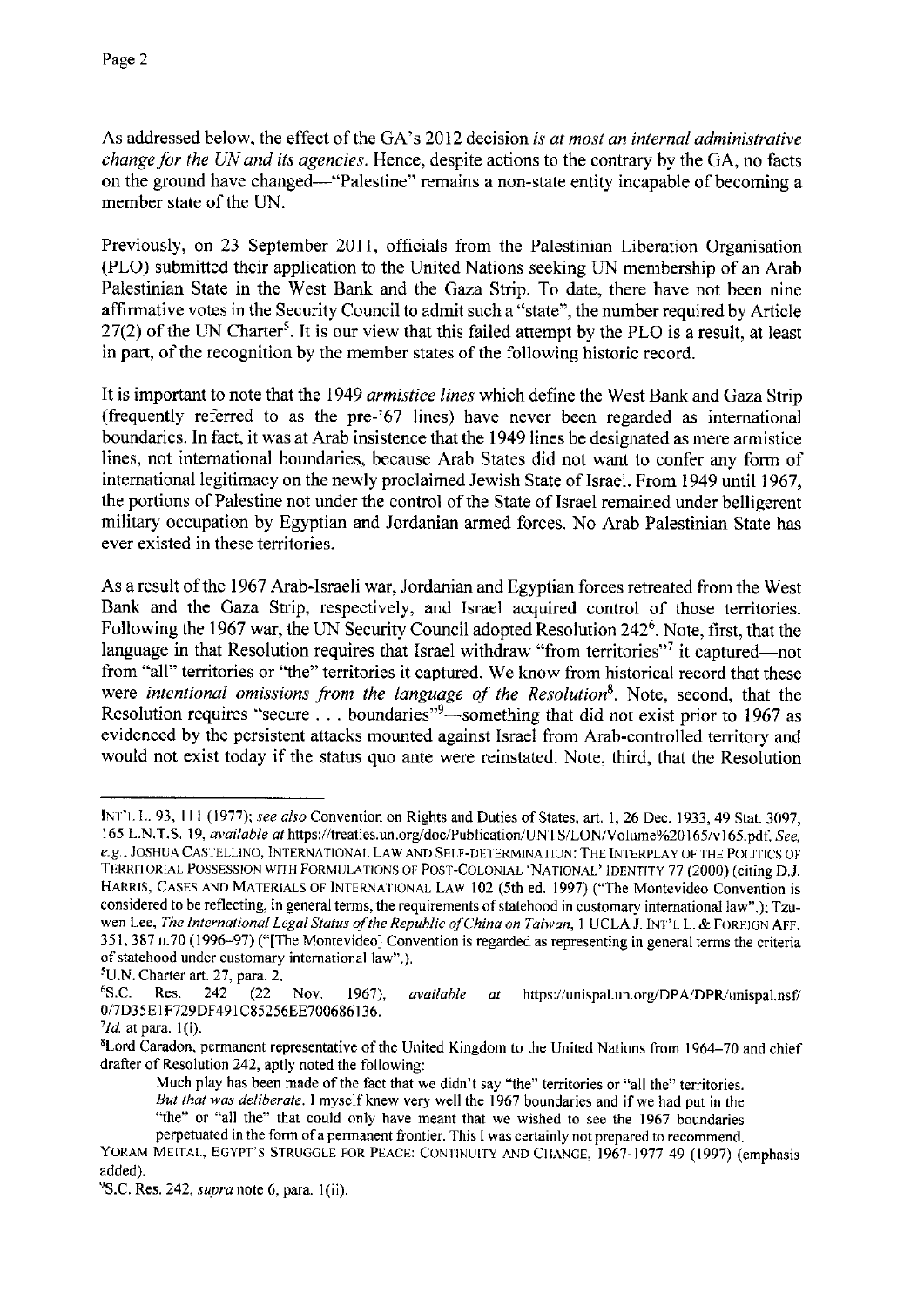As addressed below, the effect of the GA's 2012 decision *is at most an internal administrative change for the UN and its agencies.* Hence, despite actions to the contrary by the GA, no facts on the ground have changed-"Palestine" remains a non-state entity incapable of becoming a member state of the UN.

Previously, on 23 September 2011, officials from the Palestinian Liberation Organisation (PLO) submitted their application to the United Nations seeking UN membership of an Arab Palestinian State in the West Bank and the Gaza Strip. To date, there have not been nine affirmative votes in the Security Council to admit such a "state", the number required by Article  $27(2)$  of the UN Charter<sup>5</sup>. It is our view that this failed attempt by the PLO is a result, at least in part, of the recognition by the member states of the following historic record.

It is important to note that the 1949 *armistice lines* which define the West Bank and Gaza Strip (frequently referred to as the pre-'67 lines) have never been regarded as international boundaries. In fact, it was at Arab insistence that the 1949 lines be designated as mere armistice lines, not international boundaries, because Arab States did not want to confer any form of international legitimacy on the newly proclaimed Jewish State of Israel. From 1949 until 1967, the portions of Palestine not under the control of the State of Israel remained under belligerent military occupation by Egyptian and Jordanian armed forces. No Arab Palestinian State has ever existed in these territories.

As a result of the 1967 Arab-Israeli war, Jordanian and Egyptian forces retreated from the West Bank and the Gaza Strip, respectively, and Israel acquired control of those territories. Following the 1967 war, the UN Security Council adopted Resolution 2426. Note, first, that the language in that Resolution requires that Israel withdraw "from territories"<sup>7</sup> it captured—not from "all" territories or "the" territories it captured. We know from historical record that these were *intentional omissions from the language of the Resolution*<sup>8</sup>. Note, second, that the Resolution requires "secure ... boundaries"<sup>9</sup>—something that did not exist prior to 1967 as evidenced by the persistent attacks mounted against Israel from Arab-controlled territory and would not exist today if the status quo ante were reinstated. Note, third, that the Resolution

<sup>11\</sup>iT'I. L. 93, 111 (1977); *see also* Convention on Rights and Duties of States, art. 1, 26 Dec. 1933, 49 Stat. 3097, 165 L.N.T.S. 19, *available at https://treaties.un.org/doc/Publication/UNTS/LON/Volume%20165/v165.pdf. See*, *e.g., JOSHUA CASTELLINO, INTERNATIONAL LAW AND SELF-DETERMINATION: THE INTERPLAY OF THE POLITICS OF* TERRITORIAL POSSESSION WITH FORMULATIONS OF POST-COLONIAL 'NATIONAL' IDENTITY 77 (2000) (citing D.J. HARRIS, CASES AND MATERIALS OF INTERNATIONAL LAW 102 (5th ed. 1997) ("The Montevideo Convention is considered to be reflecting, in general terms, the requirements of statehood in customary international law".); Tzuwen Lee, The International Legal Status of the Republic of China on Taiwan, 1 UCLA J. INT'L L. & FOREIGN AFF. 351, 387 n.70 (1996-97) ("[The Montevideo) Convention is regarded as representing in general terms the criteria **of statehood under customary international law".),** 

 $^5$ U.N. Charter art. 27, para. 2.<br><sup>6</sup>S.C. Res. 242 (22) Res. 242 (22 Nov. 1967), *available at* https://unispal.un.org/DPA/DPR/unispal.nsf/ 0/7D35E1F729DF491C85256EE700686136.

*<sup>&#</sup>x27;Id.* atpara. l(i).

<sup>&#</sup>x27;Lord Caradon, permanent representative of the United Kingdom to the United Nations from 1964-70 and chief drafter of Resolution 242, aptly noted the following:

Much play has been made of the fact that we didn't say "the" territories or "all the" territories. *But that was deliberate.* I myself knew very well the 1967 boundaries and if we had put in the "the" or "all the" that could only have meant that we wished to see the 1967 boundaries perpetuated in the form of a permanent frontier. This I was certainly not prepared to recommend.

YORAM MEITAI., EGYPT'S STRUGGLE FOR PEACE: CONTINUITY AND CIIANGE, 1967-1977 49 (1997) (emphasis added).

<sup>9</sup> S.C. Res. 242, *supra* note 6, para. l(ii).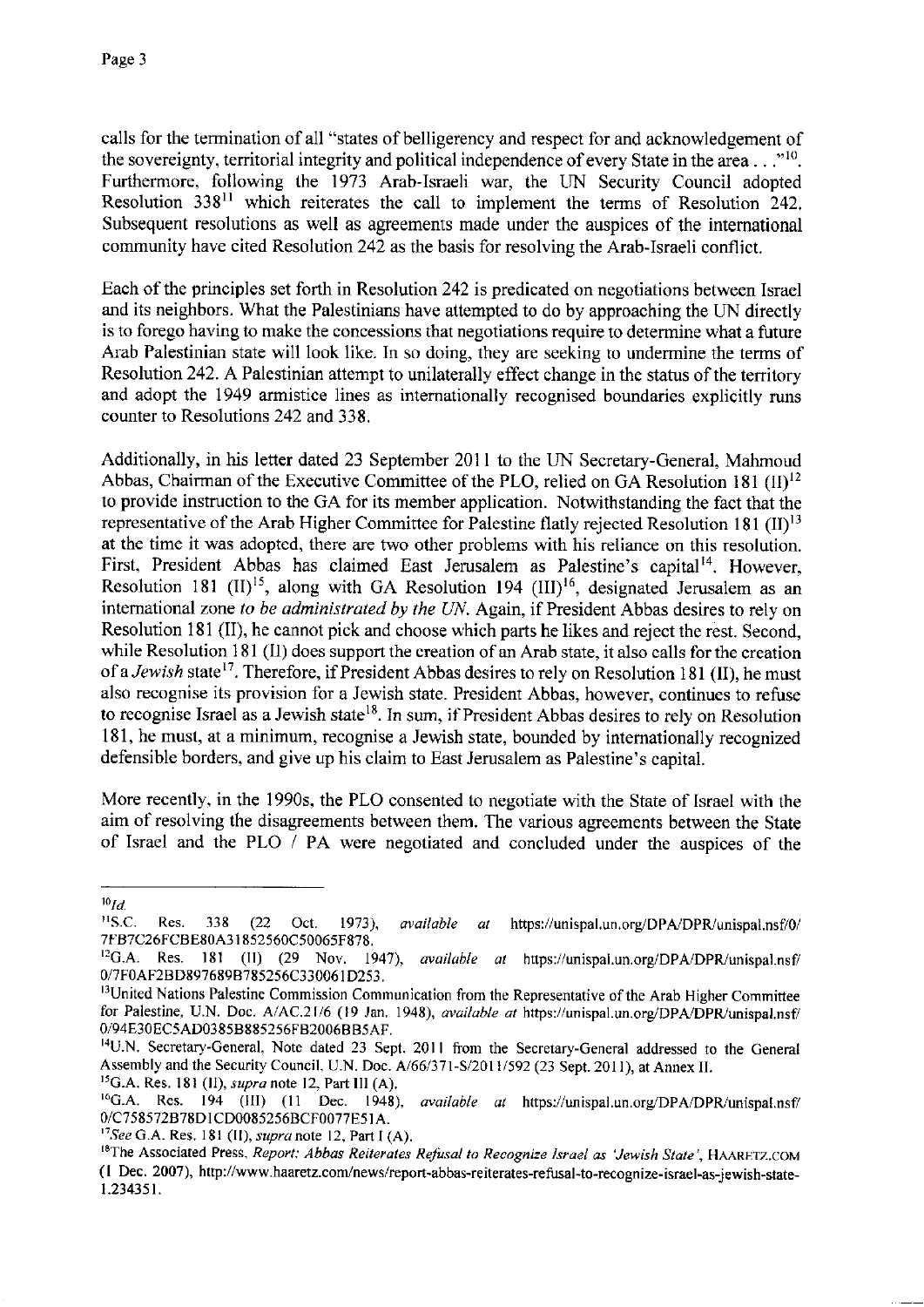calls for the termination of all "states of belligerency and respect for and acknowledgement of the sovereignty, territorial integrity and political independence of every State in the area ...  $\cdot$ <sup>10</sup>. Furthermore, following the 1973 Arab-Israeli war, the UN Security Council adopted Resolution 33811 which reiterates the call to implement the terms of Resolution 242. Subsequent resolutions as well as agreements made under the auspices of the international community have cited Resolution 242 as the basis for resolving the Arab-Israeli conflict.

Each of the principles set forth in Resolution 242 is predicated on negotiations between Israel and its neighbors. What the Palestinians have attempted to do by approaching the UN directly is to forego having to make the concessions that negotiations require to determine what a future Arab Palestinian state will look like. In so doing, they are seeking to undermine the terms of Resolution 242. A Palestinian attempt to unilaterally effect change in the status of the territory and adopt the 1949 armistice lines as internationally recognised boundaries explicitly runs counter to Resolutions 242 and 338.

Additionally, in his letter dated 23 September 2011 to the UN Secretary-General, Mahmoud Abbas, Chairman of the Executive Committee of the PLO, relied on GA Resolution 181  $(II)^{12}$ to provide instruction to the GA for its member application. Notwithstanding the fact that the representative of the Arab Higher Committee for Palestine flatly rejected Resolution 181 (II)<sup>13</sup> at the time it was adopted, there are two other problems with his reliance on this resolution. First, President Abbas has claimed East Jerusalem as Palestine's capital<sup>14</sup>. However, Resolution 181 (II)<sup>15</sup>, along with GA Resolution 194 (III)<sup>16</sup>, designated Jerusalem as an international zone *to be administrated by the UN.* Again, if President Abbas desires to rely on Resolution 181 (II), he cannot pick and choose which parts he likes and reject the rest. Second, while Resolution 181 (II) does support the creation of an Arab state, it also calls for the creation of a *Jewish* state<sup>17</sup>. Therefore, if President Abbas desires to rely on Resolution 181 (II), he must also recognise its provision for a Jewish state. President Abbas, however, continues to refuse to recognise Israel as a Jewish state<sup>18</sup>. In sum, if President Abbas desires to rely on Resolution 181, he must, at a minimum, recognise a Jewish state, bounded by internationally recognized defensible borders, and give up his claim to East Jerusalem as Palestine's capital.

More recently, in the 1990s, the PLO consented to negotiate with the State of Israel with the aim of resolving the disagreements between them. The various agreements between the State of Israel and the PLO / PA were negotiated and concluded under the auspices of the

 $^{10}Id$ 

<sup>&</sup>lt;sup>11</sup>S.C. Res. 338 (22 Oct. 1973), *available at* https://unispal.un.org/DPA/DPR/unispal.nsf/0/ 7FB7C26FCBE80A3 l 852560C50065F878.

<sup>&</sup>lt;sup>12</sup>G.A. Res. 181 (II) (29 Nov. 1947), *available at* https://unispal.un.org/DPA/DPR/unispal.nsf/ 0/7F0AF2BD897689B785256C330061D253.<br><sup>13</sup>United Nations Palestine Commission Communication from the Representative of the Arab Higher Committee

for Palestine, U.N. Doc. A/AC.21/6 (19 Jan. 1948), *available at https://unispal.un.org/DPA/DPR/unispal.nsf/* 0/94E30EC5AD0385B885256FB2006BB5AF.

<sup>14</sup>U.N. Secretary-General, Note dated 23 Sept. 2011 from the Secretary-General addressed to the General Assembly and the Security Council, U.N. Doc. A/66/371-S/2011/592 (23 Sept. 2011), at Annex II.

<sup>&</sup>lt;sup>15</sup>G.A. Res. 181 (II), *supra* note 12, Part III (A).<br><sup>16</sup>G.A. Res. 194 (III) (11 Dec. 1948), *available at* https://unispal.un.org/DPA/DPR/unispal.nsf/ 0/C758572B78D1CD0085256BCF0077E51A.<br><sup>17</sup>See G.A. Res. 181 (II), *supra* note 12, Part I (A).

<sup>&</sup>lt;sup>18</sup>The Associated Press, *Report: Abbas Reiterates Refusal to Recognize Israel as 'Jewish State', HAARFTZ.COM* ( **l** Dec. 2007), http://www.haaretz.com/news/report-abbas-reiterates-refusal-to-recognize-israel-as-jewish-statel.234351.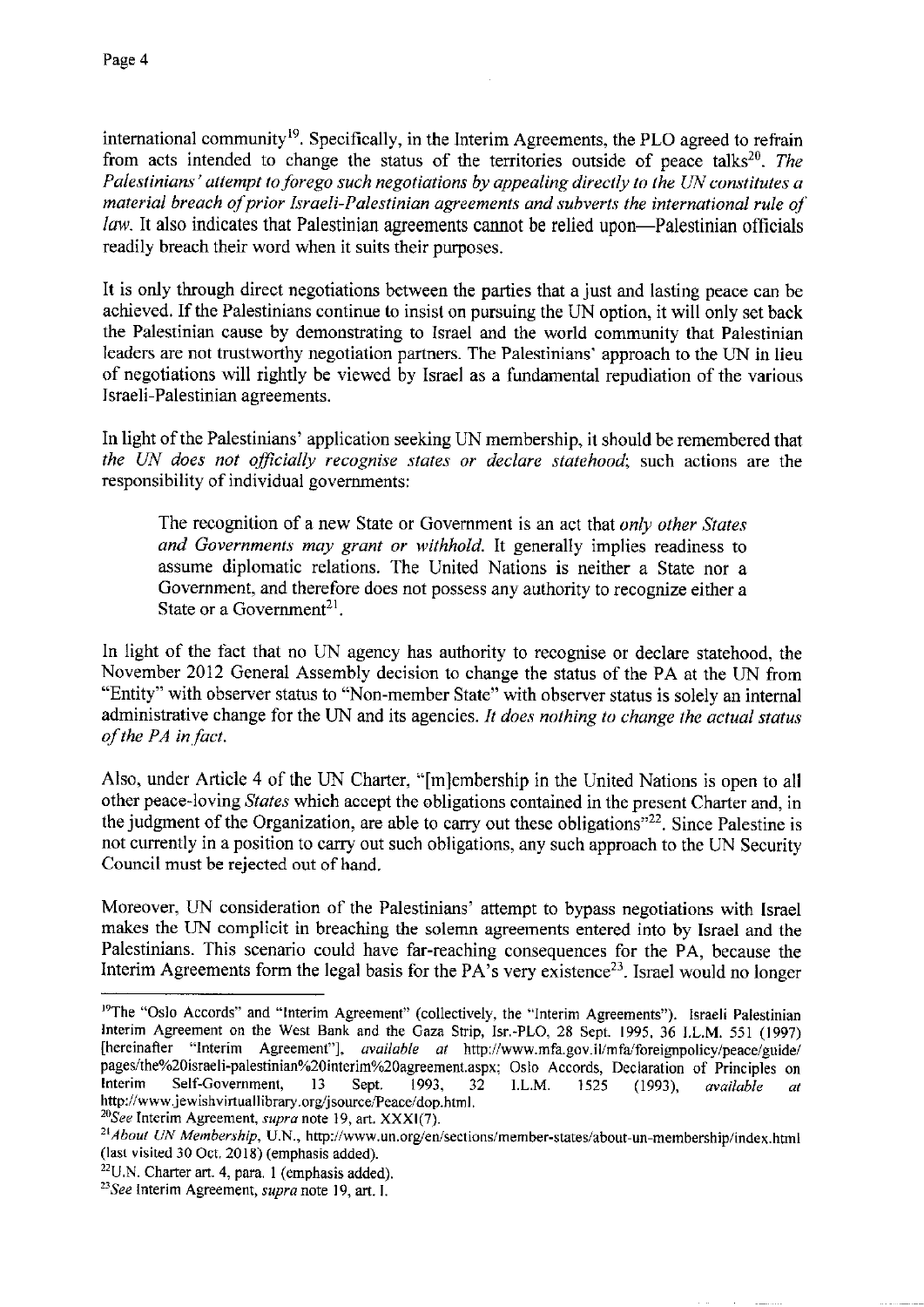international community<sup>19</sup>. Specifically, in the Interim Agreements, the PLO agreed to refrain from acts intended to change the status of the territories outside of peace talks<sup>20</sup>. *The Palestinians• attempt to forego such negotiations by appealing directly lo the UN constitutes a material breach of prior Israeli-Palestinian agreements and subverts the international rule of law.* It also indicates that Palestinian agreements cannot be relied upon—Palestinian officials readily breach their word when it suits their purposes.

It is only through direct negotiations between the parties that a just and lasting peace can be achieved. If the Palestinians continue to insist on pursuing the UN option, it will only set back the Palestinian cause by demonstrating to Israel and the world community that Palestinian leaders are not trustworthy negotiation partners. The Palestinians' approach to the UN in lieu of negotiations will rightly be viewed by Israel as a fundamental repudiation of the various Israeli-Palestinian agreements.

In light of the Palestinians' application seeking UN membership, it should be remembered that *the UN does not officially recognise states or declare statehood;* such actions are the responsibility of individual governments:

The recognition of a new State or Government is an act that *only other States and Governments may grant or withhold.* It generally implies readiness to assume diplomatic relations. The United Nations is neither a State nor a Government, and therefore does not possess any authority to recognize either a State or a Government<sup>21</sup>.

In light of the fact that no UN agency has authority to recognise or declare statehood, the November 2012 General Assembly decision to change the status of the PA at the UN from "Entity" with observer status to "Non-member State" with observer status is solely an internal administrative change for the UN and its agencies. *It does nothing to change the actual status of the PA in fact.* 

Also, under Article 4 of the UN Charter, "[m]embership in the United Nations is open to all other peace-loving *States* which accept the obligations contained in the present Charter and, in the judgment of the Organization, are able to carry out these obligations"<sup>22</sup>. Since Palestine is not currently in a position to carry out such obligations, any such approach to the UN Security Council must be rejected out of hand.

Moreover, UN consideration of the Palestinians' attempt to bypass negotiations with Israel makes the UN complicit in breaching the solemn agreements entered into by Israel and the Palestinians. This scenario could have far-reaching consequences for the PA, because the Interim Agreements form the legal basis for the  $PA$ 's very existence<sup>23</sup>. Israel would no longer

<sup>&</sup>lt;sup>19</sup>The "Oslo Accords" and "Interim Agreement" (collectively, the "Interim Agreements"). Israeli Palestinian Interim Agreement on the West Bank and the Gaza Strip, Isr.-PLO, 28 Sept. 1995, 36 I.L.M. 551 (1997) [hereinafter "Interim Agreement"], *available at* http://www.mfa.gov.il/mfa/foreignpolicy/peace/guide/ pages/the%20israeli-palestinian%20interim%20agreement.aspx: Oslo Accords, Declaration of Principles on Interim Self-Government, 13 Sept. 1993. 32 I.L.M. 1525 (1993) *available at* Interim Self-Government, 13 Sept. 1993, 32 I.L.M. 1525 (1993), *available at*  http://www.jewishvirtuallibrary.org/jsource/Peace/dop.html.<br><sup>20</sup>See Interim Agreement, *supra* note 19, art. XXXI(7).

<sup>&</sup>lt;sup>21</sup> About UN Membership, U.N., http://www.un.org/en/sections/member-states/about-un-membership/index.html (last visited 30 Oct. 2018) (emphasis added).

<sup>22</sup>U.N. Charter art. 4, para. I (emphasis added). *23See* Interim Agreement, *supra* note 19, art. I.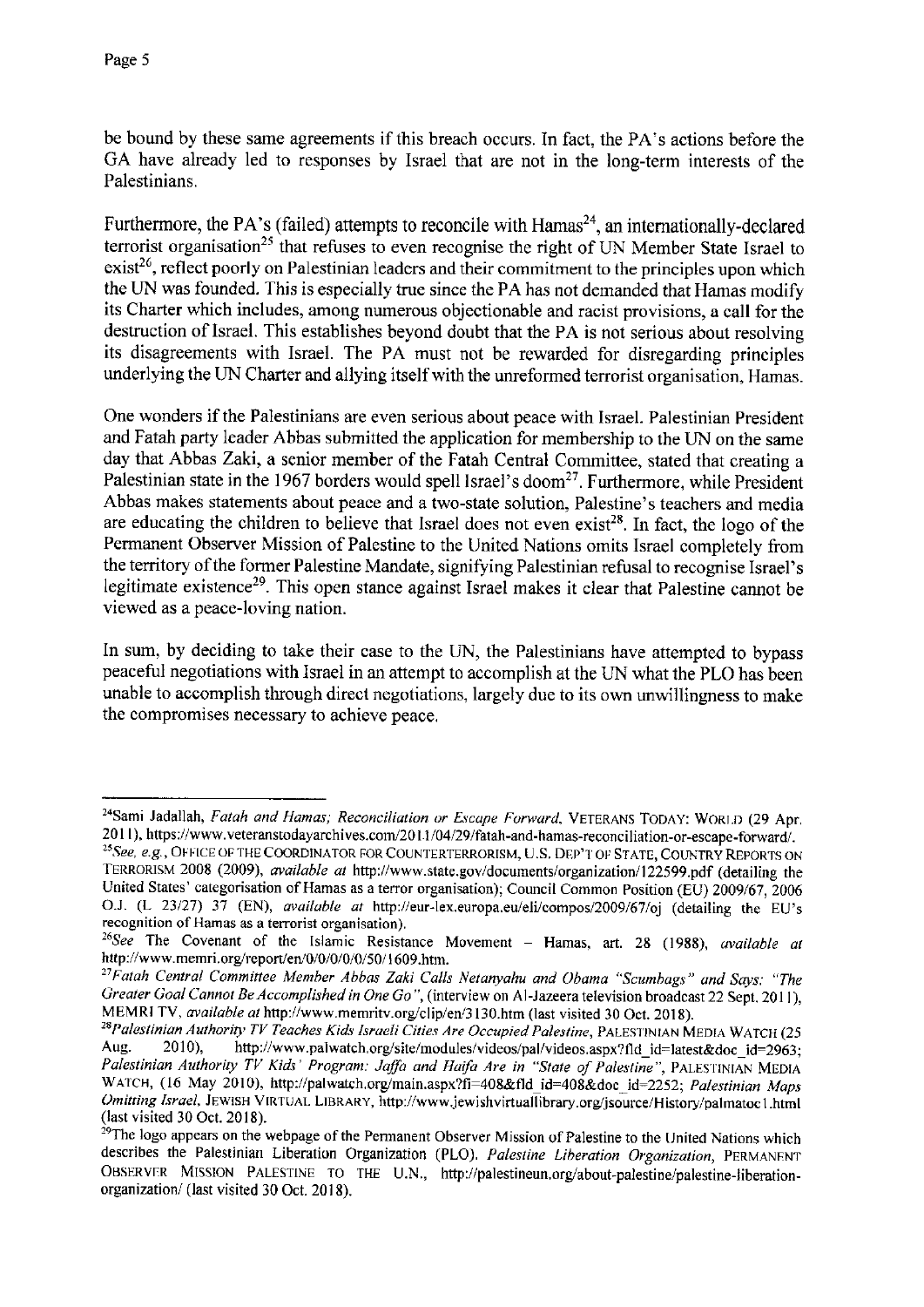be bound by these same agreements if this breach occurs. In fact, the PA's actions before the GA have already led to responses by Israel that are not in the long-term interests of the Palestinians.

Furthermore, the PA's (failed) attempts to reconcile with  $Hamas^{24}$ , an internationally-declared terrorist organisation<sup>25</sup> that refuses to even recognise the right of UN Member State Israel to  $exist^{26}$ , reflect poorly on Palestinian leaders and their commitment to the principles upon which the UN was founded. This is especially true since the PA has not demanded that Hamas modify its Charter which includes, among numerous objectionable and racist provisions, a call for the destruction of Israel. This establishes beyond doubt that the PA is not serious about resolving its disagreements with Israel. The PA must not be rewarded for disregarding principles underlying the UN Charter and allying itself with the unreformed terrorist organisation, Hamas.

One wonders if the Palestinians are even serious about peace with Israel. Palestinian President and Fatah party leader Abbas submitted the application for membership to the UN on the same day that Abbas Zaki, a senior member of the Fatah Central Committee, stated that creating a Palestinian state in the 1967 borders would spell Israel's doom<sup>27</sup>. Furthermore, while President Abbas makes statements about peace and a two-state solution, Palestine's teachers and media are educating the children to believe that Israel does not even exist<sup>28</sup>. In fact, the logo of the Permanent Observer Mission of Palestine to the United Nations omits Israel completely from the territory of the former Palestine Mandate, signifying Palestinian refusal to recognise Israel's legitimate existence<sup>29</sup>. This open stance against Israel makes it clear that Palestine cannot be viewed as a peace-loving nation.

In sum, by deciding to take their case to the UN, the Palestinians have attempted to bypass peaceful negotiations with Israel in an attempt to accomplish at the UN what the PLO has been unable to accomplish through direct negotiations, largely due to its own unwillingness to make the compromises necessary to achieve peace.

<sup>&</sup>lt;sup>24</sup>Sami Jadallah, *Fatah and Hamas; Reconciliation or Escape Forward*, VETERANS TODAY: WORLD (29 Apr. 20 I I), https://www.veteranstodayarchives.com/20 11 /04/29/fatah-and,hamas-reconciliation-or-escape-forward/.

<sup>&</sup>lt;sup>25</sup> See, e.g., OFFICE OF THE COORDINATOR FOR COUNTERTERRORISM, U.S. DEP'T OF STATE, COUNTRY REPORTS ON TERRORISM 2008 (2009), *available at* http://www.state.gov/documents/organization/l 22599.pdf (detailing the United States' categorisation of Hamas as a terror organisation); Council Common Position (EU) 2009/67, 2006 OJ. (L 23/27) 37 (EN), *available at* http://eur-lex.europa.eu/eli/compos/2009/67/oj (detailing the EU's **recognition of Hamas as a terrorist organisation).** 

<sup>&</sup>lt;sup>26</sup>See The Covenant of the Islamic Resistance Movement - Hamas, art. 28 (1988), *available at* http://www.memri.org/report/en/0/0/0/0/0/50/1609.htm.

*<sup>&</sup>quot;Falah Central Committee Member Abbas Zaki Calls Netanyahu and Obama "Scumbags" and Says: "The Greater Goal Cannot Be Accomplished in One Go"*, (interview on Al-Jazeera television broadcast 22 Sept. 2011), MEMRI TV, available at http://www.memritv.org/clip/en/3130.htm (last visited 30 Oct. 2018).

<sup>&</sup>lt;sup>28</sup>Palestinian Authority *TV Teaches Kids Israeli Cities Are Occupied Palestine*, PALESTINIAN MEDIA WATCH (25 Aug. 2010), http://www.palwatch.org/site/modules/videos/pal/videos.aspx?fid id=latest&doc. id=2963. http://www.palwatch.org/site/modules/videos/pal/videos.aspx?fld\_id=latest&doc\_id=2963; Palestinian Authority TV Kids' Program: Jaffa and Haifa Are in "State of Palestine", PALESTINIAN MEDIA WATCH, (16 May 2010), http://palwatch.org/main.aspx?fi=408&fld\_id=408&doc\_id=2252; Palestinian Maps *Omitting Israel, JEWISH VIRTUAL LIBRARY, http://www.jewishvirtuallibrary.org/jsource/History/palmatoc1.html* (last visited 30 Oct. 2018).

<sup>&</sup>lt;sup>29</sup>The logo appears on the webpage of the Permanent Observer Mission of Palestine to the United Nations which describes the Palestinian Liberation Organization (PLO). *Palestine Liheration Organization,* PERMANENT OBSERVER MISSION PALESTINE TO THE U.N., http://palestineun.org/about-palestine/palestine-liberationorganization/ (last visited 30 Oct. 2018).